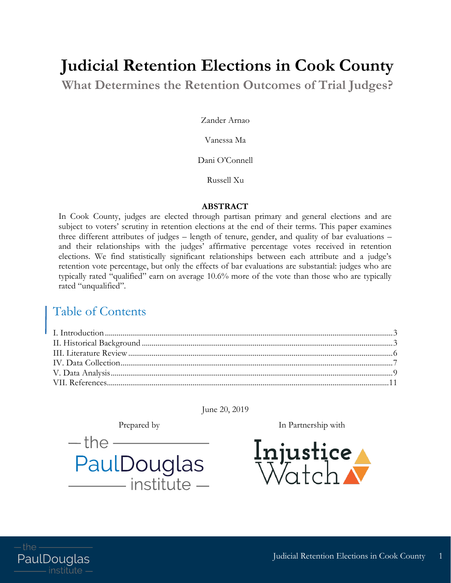# **Judicial Retention Elections in Cook County**

**What Determines the Retention Outcomes of Trial Judges?**

Zander Arnao

Vanessa Ma

Dani O'Connell

Russell Xu

#### **ABSTRACT**

In Cook County, judges are elected through partisan primary and general elections and are subject to voters' scrutiny in retention elections at the end of their terms. This paper examines three different attributes of judges – length of tenure, gender, and quality of bar evaluations – and their relationships with the judges' affirmative percentage votes received in retention elections. We find statistically significant relationships between each attribute and a judge's retention vote percentage, but only the effects of bar evaluations are substantial: judges who are typically rated "qualified" earn on average 10.6% more of the vote than those who are typically rated "unqualified".

#### Table of Contents

June 20, 2019

 $-the-$ PaulDouglas <u>\_\_\_\_\_\_</u> institute \_

www.pauldouglasinstitute.org

Prepared by In Partnership with



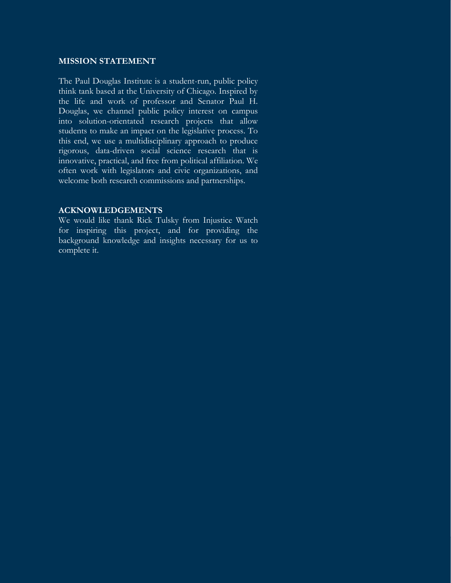#### **MISSION STATEMENT**

The Paul Douglas Institute is a student-run, public policy think tank based at the University of Chicago. Inspired by the life and work of professor and Senator Paul H. Douglas, we channel public policy interest on campus into solution-orientated research projects that allow students to make an impact on the legislative process. To this end, we use a multidisciplinary approach to produce rigorous, data-driven social science research that is innovative, practical, and free from political affiliation. We often work with legislators and civic organizations, and welcome both research commissions and partnerships.

#### **ACKNOWLEDGEMENTS**

We would like thank Rick Tulsky from Injustice Watch for inspiring this project, and for providing the background knowledge and insights necessary for us to complete it.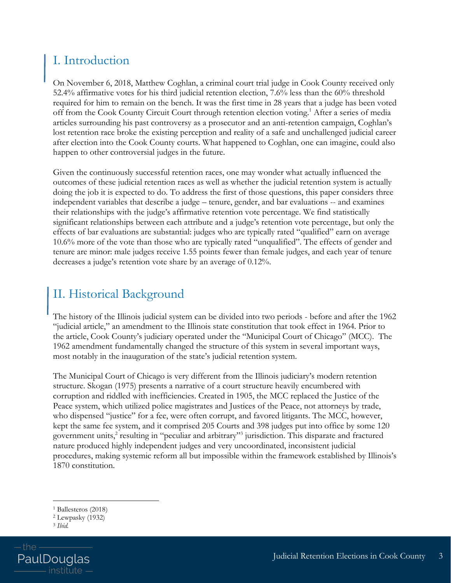#### I. Introduction

<span id="page-2-0"></span>On November 6, 2018, Matthew Coghlan, a criminal court trial judge in Cook County received only 52.4% affirmative votes for his third judicial retention election, 7.6% less than the 60% threshold required for him to remain on the bench. It was the first time in 28 years that a judge has been voted off from the Cook County Circuit Court through retention election voting.<sup>1</sup> After a series of media articles surrounding his past controversy as a prosecutor and an anti-retention campaign, Coghlan's lost retention race broke the existing perception and reality of a safe and unchallenged judicial career after election into the Cook County courts. What happened to Coghlan, one can imagine, could also happen to other controversial judges in the future.

Given the continuously successful retention races, one may wonder what actually influenced the outcomes of these judicial retention races as well as whether the judicial retention system is actually doing the job it is expected to do. To address the first of those questions, this paper considers three independent variables that describe a judge – tenure, gender, and bar evaluations -- and examines their relationships with the judge's affirmative retention vote percentage. We find statistically significant relationships between each attribute and a judge's retention vote percentage, but only the effects of bar evaluations are substantial: judges who are typically rated "qualified" earn on average 10.6% more of the vote than those who are typically rated "unqualified". The effects of gender and tenure are minor: male judges receive 1.55 points fewer than female judges, and each year of tenure decreases a judge's retention vote share by an average of 0.12%.

# II. Historical Background

<span id="page-2-1"></span>The history of the Illinois judicial system can be divided into two periods - before and after the 1962 "judicial article," an amendment to the Illinois state constitution that took effect in 1964. Prior to the article, Cook County's judiciary operated under the "Municipal Court of Chicago" (MCC). The 1962 amendment fundamentally changed the structure of this system in several important ways, most notably in the inauguration of the state's judicial retention system.

The Municipal Court of Chicago is very different from the Illinois judiciary's modern retention structure. Skogan (1975) presents a narrative of a court structure heavily encumbered with corruption and riddled with inefficiencies. Created in 1905, the MCC replaced the Justice of the Peace system, which utilized police magistrates and Justices of the Peace, not attorneys by trade, who dispensed "justice" for a fee, were often corrupt, and favored litigants. The MCC, however, kept the same fee system, and it comprised 205 Courts and 398 judges put into office by some 120 government units,<sup>2</sup> resulting in "peculiar and arbitrary"<sup>3</sup> jurisdiction. This disparate and fractured nature produced highly independent judges and very uncoordinated, inconsistent judicial procedures, making systemic reform all but impossible within the framework established by Illinois's 1870 constitution.

<sup>3</sup> *Ibid.*



<sup>1</sup> Ballesteros (2018)

<sup>2</sup> Lewpasky (1932)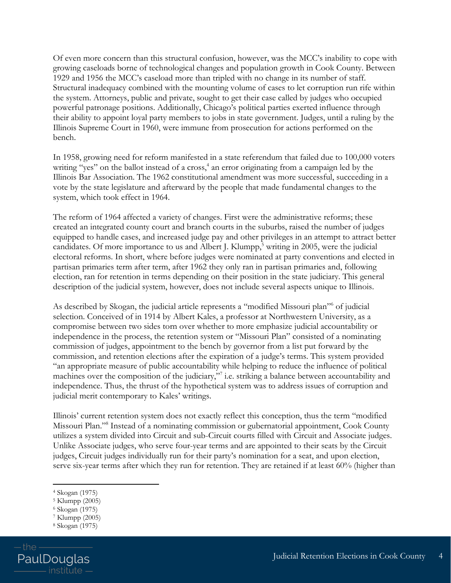Of even more concern than this structural confusion, however, was the MCC's inability to cope with growing caseloads borne of technological changes and population growth in Cook County. Between 1929 and 1956 the MCC's caseload more than tripled with no change in its number of staff. Structural inadequacy combined with the mounting volume of cases to let corruption run rife within the system. Attorneys, public and private, sought to get their case called by judges who occupied powerful patronage positions. Additionally, Chicago's political parties exerted influence through their ability to appoint loyal party members to jobs in state government. Judges, until a ruling by the Illinois Supreme Court in 1960, were immune from prosecution for actions performed on the bench.

In 1958, growing need for reform manifested in a state referendum that failed due to 100,000 voters writing "yes" on the ballot instead of a cross,<sup>4</sup> an error originating from a campaign led by the Illinois Bar Association. The 1962 constitutional amendment was more successful, succeeding in a vote by the state legislature and afterward by the people that made fundamental changes to the system, which took effect in 1964.

The reform of 1964 affected a variety of changes. First were the administrative reforms; these created an integrated county court and branch courts in the suburbs, raised the number of judges equipped to handle cases, and increased judge pay and other privileges in an attempt to attract better candidates. Of more importance to us and Albert J. Klumpp, $5$  writing in 2005, were the judicial electoral reforms. In short, where before judges were nominated at party conventions and elected in partisan primaries term after term, after 1962 they only ran in partisan primaries and, following election, ran for retention in terms depending on their position in the state judiciary. This general description of the judicial system, however, does not include several aspects unique to Illinois.

As described by Skogan, the judicial article represents a "modified Missouri plan"<sup>6</sup> of judicial selection. Conceived of in 1914 by Albert Kales, a professor at Northwestern University, as a compromise between two sides torn over whether to more emphasize judicial accountability or independence in the process, the retention system or "Missouri Plan" consisted of a nominating commission of judges, appointment to the bench by governor from a list put forward by the commission, and retention elections after the expiration of a judge's terms. This system provided "an appropriate measure of public accountability while helping to reduce the influence of political machines over the composition of the judiciary,"<sup>7</sup> i.e. striking a balance between accountability and independence. Thus, the thrust of the hypothetical system was to address issues of corruption and judicial merit contemporary to Kales' writings.

Illinois' current retention system does not exactly reflect this conception, thus the term "modified Missouri Plan."<sup>8</sup> Instead of a nominating commission or gubernatorial appointment, Cook County utilizes a system divided into Circuit and sub-Circuit courts filled with Circuit and Associate judges. Unlike Associate judges, who serve four-year terms and are appointed to their seats by the Circuit judges, Circuit judges individually run for their party's nomination for a seat, and upon election, serve six-year terms after which they run for retention. They are retained if at least 60% (higher than

<sup>8</sup> Skogan (1975)



<sup>4</sup> Skogan (1975)

<sup>5</sup> Klumpp (2005)

<sup>6</sup> Skogan (1975)

<sup>7</sup> Klumpp (2005)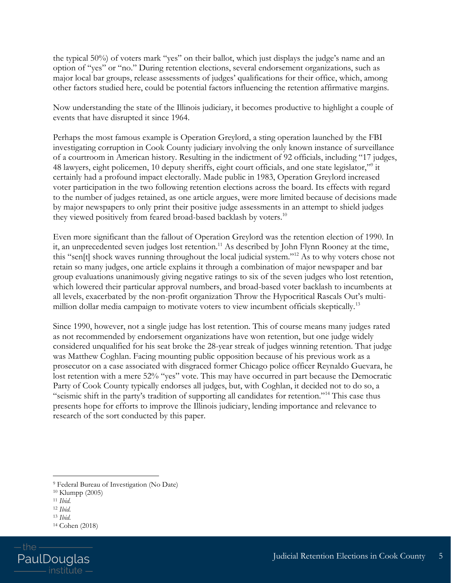the typical 50%) of voters mark "yes" on their ballot, which just displays the judge's name and an option of "yes" or "no." During retention elections, several endorsement organizations, such as major local bar groups, release assessments of judges' qualifications for their office, which, among other factors studied here, could be potential factors influencing the retention affirmative margins.

Now understanding the state of the Illinois judiciary, it becomes productive to highlight a couple of events that have disrupted it since 1964.

Perhaps the most famous example is Operation Greylord, a sting operation launched by the FBI investigating corruption in Cook County judiciary involving the only known instance of surveillance of a courtroom in American history. Resulting in the indictment of 92 officials, including "17 judges, 48 lawyers, eight policemen, 10 deputy sheriffs, eight court officials, and one state legislator,"<sup>9</sup> it certainly had a profound impact electorally. Made public in 1983, Operation Greylord increased voter participation in the two following retention elections across the board. Its effects with regard to the number of judges retained, as one article argues, were more limited because of decisions made by major newspapers to only print their positive judge assessments in an attempt to shield judges they viewed positively from feared broad-based backlash by voters.<sup>10</sup>

Even more significant than the fallout of Operation Greylord was the retention election of 1990. In it, an unprecedented seven judges lost retention.<sup>11</sup> As described by John Flynn Rooney at the time, this "sen[t] shock waves running throughout the local judicial system."<sup>12</sup> As to why voters chose not retain so many judges, one article explains it through a combination of major newspaper and bar group evaluations unanimously giving negative ratings to six of the seven judges who lost retention, which lowered their particular approval numbers, and broad-based voter backlash to incumbents at all levels, exacerbated by the non-profit organization Throw the Hypocritical Rascals Out's multimillion dollar media campaign to motivate voters to view incumbent officials skeptically.<sup>13</sup>

Since 1990, however, not a single judge has lost retention. This of course means many judges rated as not recommended by endorsement organizations have won retention, but one judge widely considered unqualified for his seat broke the 28-year streak of judges winning retention. That judge was Matthew Coghlan. Facing mounting public opposition because of his previous work as a prosecutor on a case associated with disgraced former Chicago police officer Reynaldo Guevara, he lost retention with a mere 52% "yes" vote. This may have occurred in part because the Democratic Party of Cook County typically endorses all judges, but, with Coghlan, it decided not to do so, a "seismic shift in the party's tradition of supporting all candidates for retention."<sup>14</sup> This case thus presents hope for efforts to improve the Illinois judiciary, lending importance and relevance to research of the sort conducted by this paper.

<sup>14</sup> Cohen (2018)



<sup>9</sup> Federal Bureau of Investigation (No Date)

<sup>10</sup> Klumpp (2005)

<sup>11</sup> *Ibid.*

<sup>12</sup> *Ibid.*

<sup>13</sup> *Ibid.*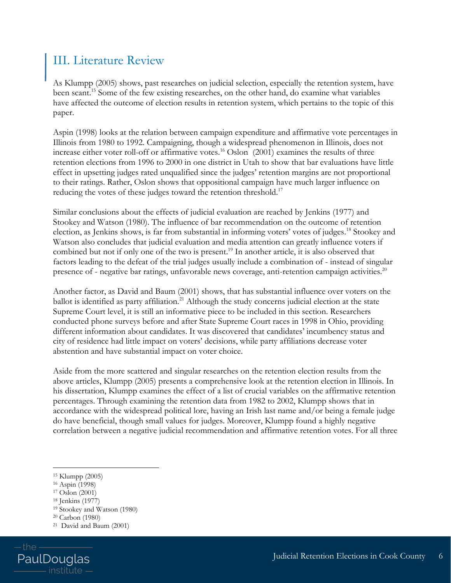### III. Literature Review

<span id="page-5-0"></span>As Klumpp (2005) shows, past researches on judicial selection, especially the retention system, have been scant.<sup>15</sup> Some of the few existing researches, on the other hand, do examine what variables have affected the outcome of election results in retention system, which pertains to the topic of this paper.

Aspin (1998) looks at the relation between campaign expenditure and affirmative vote percentages in Illinois from 1980 to 1992. Campaigning, though a widespread phenomenon in Illinois, does not increase either voter roll-off or affirmative votes.<sup>16</sup> Oslon (2001) examines the results of three retention elections from 1996 to 2000 in one district in Utah to show that bar evaluations have little effect in upsetting judges rated unqualified since the judges' retention margins are not proportional to their ratings. Rather, Oslon shows that oppositional campaign have much larger influence on reducing the votes of these judges toward the retention threshold.<sup>17</sup>

Similar conclusions about the effects of judicial evaluation are reached by Jenkins (1977) and Stookey and Watson (1980). The influence of bar recommendation on the outcome of retention election, as Jenkins shows, is far from substantial in informing voters' votes of judges.<sup>18</sup> Stookey and Watson also concludes that judicial evaluation and media attention can greatly influence voters if combined but not if only one of the two is present.<sup>19</sup> In another article, it is also observed that factors leading to the defeat of the trial judges usually include a combination of - instead of singular presence of - negative bar ratings, unfavorable news coverage, anti-retention campaign activities.<sup>20</sup>

Another factor, as David and Baum (2001) shows, that has substantial influence over voters on the ballot is identified as party affiliation.<sup>21</sup> Although the study concerns judicial election at the state Supreme Court level, it is still an informative piece to be included in this section. Researchers conducted phone surveys before and after State Supreme Court races in 1998 in Ohio, providing different information about candidates. It was discovered that candidates' incumbency status and city of residence had little impact on voters' decisions, while party affiliations decrease voter abstention and have substantial impact on voter choice.

Aside from the more scattered and singular researches on the retention election results from the above articles, Klumpp (2005) presents a comprehensive look at the retention election in Illinois. In his dissertation, Klumpp examines the effect of a list of crucial variables on the affirmative retention percentages. Through examining the retention data from 1982 to 2002, Klumpp shows that in accordance with the widespread political lore, having an Irish last name and/or being a female judge do have beneficial, though small values for judges. Moreover, Klumpp found a highly negative correlation between a negative judicial recommendation and affirmative retention votes. For all three

<sup>21</sup> David and Baum (2001)



<sup>15</sup> Klumpp (2005)

<sup>16</sup> Aspin (1998)

<sup>17</sup> Oslon (2001)

<sup>18</sup> Jenkins (1977)

<sup>19</sup> Stookey and Watson (1980)

<sup>20</sup> Carbon (1980)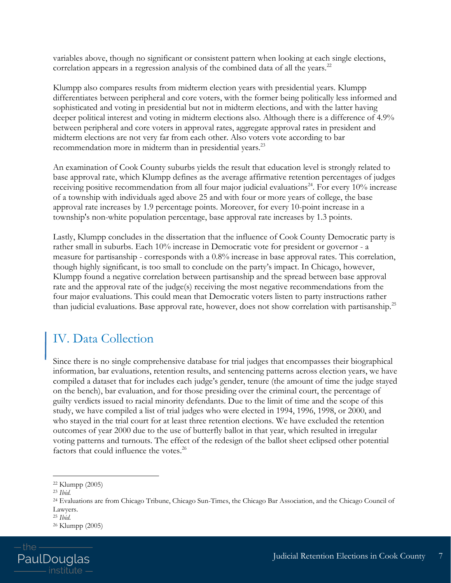variables above, though no significant or consistent pattern when looking at each single elections, correlation appears in a regression analysis of the combined data of all the years.<sup>22</sup>

Klumpp also compares results from midterm election years with presidential years. Klumpp differentiates between peripheral and core voters, with the former being politically less informed and sophisticated and voting in presidential but not in midterm elections, and with the latter having deeper political interest and voting in midterm elections also. Although there is a difference of 4.9% between peripheral and core voters in approval rates, aggregate approval rates in president and midterm elections are not very far from each other. Also voters vote according to bar recommendation more in midterm than in presidential years.<sup>23</sup>

An examination of Cook County suburbs yields the result that education level is strongly related to base approval rate, which Klumpp defines as the average affirmative retention percentages of judges receiving positive recommendation from all four major judicial evaluations<sup>24</sup>. For every 10% increase of a township with individuals aged above 25 and with four or more years of college, the base approval rate increases by 1.9 percentage points. Moreover, for every 10-point increase in a township's non-white population percentage, base approval rate increases by 1.3 points.

Lastly, Klumpp concludes in the dissertation that the influence of Cook County Democratic party is rather small in suburbs. Each 10% increase in Democratic vote for president or governor - a measure for partisanship - corresponds with a 0.8% increase in base approval rates. This correlation, though highly significant, is too small to conclude on the party's impact. In Chicago, however, Klumpp found a negative correlation between partisanship and the spread between base approval rate and the approval rate of the judge(s) receiving the most negative recommendations from the four major evaluations. This could mean that Democratic voters listen to party instructions rather than judicial evaluations. Base approval rate, however, does not show correlation with partisanship.<sup>25</sup>

# IV. Data Collection

<span id="page-6-0"></span>Since there is no single comprehensive database for trial judges that encompasses their biographical information, bar evaluations, retention results, and sentencing patterns across election years, we have compiled a dataset that for includes each judge's gender, tenure (the amount of time the judge stayed on the bench), bar evaluation, and for those presiding over the criminal court, the percentage of guilty verdicts issued to racial minority defendants. Due to the limit of time and the scope of this study, we have compiled a list of trial judges who were elected in 1994, 1996, 1998, or 2000, and who stayed in the trial court for at least three retention elections. We have excluded the retention outcomes of year 2000 due to the use of butterfly ballot in that year, which resulted in irregular voting patterns and turnouts. The effect of the redesign of the ballot sheet eclipsed other potential factors that could influence the votes.<sup>26</sup>

<sup>26</sup> Klumpp (2005)



<sup>22</sup> Klumpp (2005)

<sup>23</sup> *Ibid.*

<sup>24</sup> Evaluations are from Chicago Tribune, Chicago Sun-Times, the Chicago Bar Association, and the Chicago Council of Lawyers.

<sup>25</sup> *Ibid.*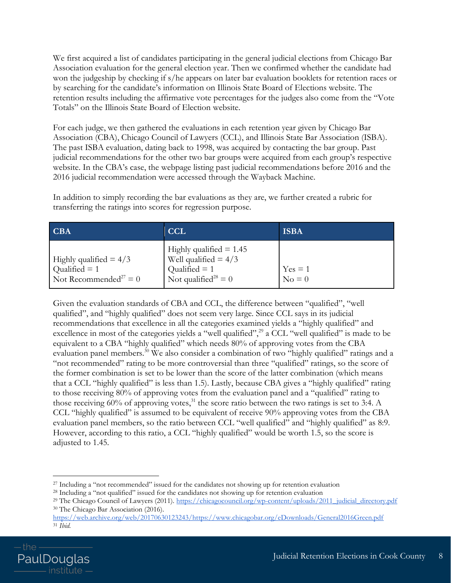We first acquired a list of candidates participating in the general judicial elections from Chicago Bar Association evaluation for the general election year. Then we confirmed whether the candidate had won the judgeship by checking if s/he appears on later bar evaluation booklets for retention races or by searching for the candidate's information on Illinois State Board of Elections website. The retention results including the affirmative vote percentages for the judges also come from the "Vote Totals" on the Illinois State Board of Election website.

For each judge, we then gathered the evaluations in each retention year given by Chicago Bar Association (CBA), Chicago Council of Lawyers (CCL), and Illinois State Bar Association (ISBA). The past ISBA evaluation, dating back to 1998, was acquired by contacting the bar group. Past judicial recommendations for the other two bar groups were acquired from each group's respective website. In the CBA's case, the webpage listing past judicial recommendations before 2016 and the 2016 judicial recommendation were accessed through the Wayback Machine.

In addition to simply recording the bar evaluations as they are, we further created a rubric for transferring the ratings into scores for regression purpose.

| <b>CBA</b>                                                                       | <b>CCL</b>                                                                                                               | <b>ISBA</b>           |
|----------------------------------------------------------------------------------|--------------------------------------------------------------------------------------------------------------------------|-----------------------|
| Highly qualified $= 4/3$<br>Qualified $= 1$<br>Not Recommended <sup>27</sup> = 0 | Highly qualified $= 1.45$<br>Well qualified $= 4/3$<br>Qualified $= 1$<br>$\blacksquare$ Not qualified <sup>28</sup> = 0 | $Yes = 1$<br>$No = 0$ |

Given the evaluation standards of CBA and CCL, the difference between "qualified", "well qualified", and "highly qualified" does not seem very large. Since CCL says in its judicial recommendations that excellence in all the categories examined yields a "highly qualified" and excellence in most of the categories yields a "well qualified",<sup>29</sup> a CCL "well qualified" is made to be equivalent to a CBA "highly qualified" which needs 80% of approving votes from the CBA evaluation panel members.<sup>30</sup> We also consider a combination of two "highly qualified" ratings and a "not recommended" rating to be more controversial than three "qualified" ratings, so the score of the former combination is set to be lower than the score of the latter combination (which means that a CCL "highly qualified" is less than 1.5). Lastly, because CBA gives a "highly qualified" rating to those receiving 80% of approving votes from the evaluation panel and a "qualified" rating to those receiving  $60\%$  of approving votes,<sup>31</sup> the score ratio between the two ratings is set to 3:4. A CCL "highly qualified" is assumed to be equivalent of receive 90% approving votes from the CBA evaluation panel members, so the ratio between CCL "well qualified" and "highly qualified" as 8:9. However, according to this ratio, a CCL "highly qualified" would be worth 1.5, so the score is adjusted to 1.45.

[https://web.archive.org/web/20170630123243/https://www.chicagobar.org/eDownloads/General2016Green.pdf](https://web.archive.org/web/20170630123243/https:/www.chicagobar.org/eDownloads/General2016Green.pdf) <sup>31</sup> *Ibid.*



<sup>&</sup>lt;sup>27</sup> Including a "not recommended" issued for the candidates not showing up for retention evaluation

<sup>28</sup> Including a "not qualified" issued for the candidates not showing up for retention evaluation

<sup>&</sup>lt;sup>29</sup> The Chicago Council of Lawyers (2011). [https://chicagocouncil.org/wp-content/uploads/2011\\_judicial\\_directory.pdf](https://chicagocouncil.org/wp-content/uploads/2011_judicial_directory.pdf) <sup>30</sup> The Chicago Bar Association (2016).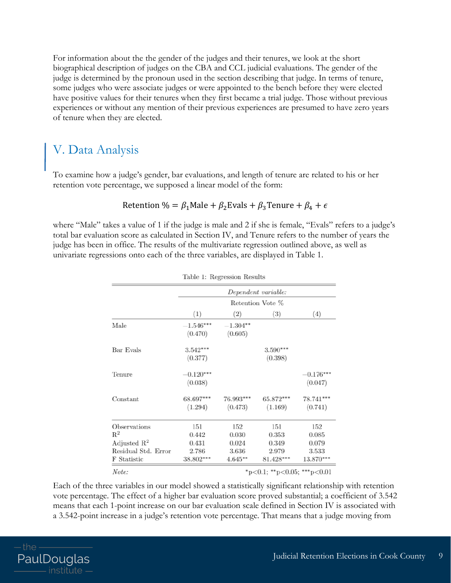For information about the the gender of the judges and their tenures, we look at the short biographical description of judges on the CBA and CCL judicial evaluations. The gender of the judge is determined by the pronoun used in the section describing that judge. In terms of tenure, some judges who were associate judges or were appointed to the bench before they were elected have positive values for their tenures when they first became a trial judge. Those without previous experiences or without any mention of their previous experiences are presumed to have zero years of tenure when they are elected.

# V. Data Analysis

<span id="page-8-0"></span>To examine how a judge's gender, bar evaluations, and length of tenure are related to his or her retention vote percentage, we supposed a linear model of the form:

#### Retention % =  $\beta_1$ Male +  $\beta_2$ Evals +  $\beta_3$ Tenure +  $\beta_4$  +  $\epsilon$

where "Male" takes a value of 1 if the judge is male and 2 if she is female, "Evals" refers to a judge's total bar evaluation score as calculated in Section IV, and Tenure refers to the number of years the judge has been in office. The results of the multivariate regression outlined above, as well as univariate regressions onto each of the three variables, are displayed in Table 1.

|                        | Dependent variable:     |                         |                         |  |
|------------------------|-------------------------|-------------------------|-------------------------|--|
|                        | Retention Vote %        |                         |                         |  |
| (1)                    | $\left( 2\right)$       | $\left(3\right)$        | $\left( 4\right)$       |  |
| $-1.546***$<br>(0.470) | $-1.304**$<br>(0.605)   |                         |                         |  |
| $3.542***$<br>(0.377)  |                         | $3.590***$<br>(0.398)   |                         |  |
| $-0.120***$<br>(0.038) |                         |                         | $-0.176***$<br>(0.047)  |  |
| 68.697***<br>(1.294)   | 76.993***<br>(0.473)    | 65.872***<br>(1.169)    | 78.741***<br>(0.741)    |  |
| 151                    | 152                     | 151                     | 152                     |  |
|                        |                         |                         | 0.085                   |  |
|                        |                         |                         | 0.079                   |  |
| 38.802***              | $4.645**$               | 81.428***               | 3.533<br>13.870***      |  |
|                        | 0.442<br>0.431<br>2.786 | 0.030<br>0.024<br>3.636 | 0.353<br>0.349<br>2.979 |  |

Table 1: Regression Results

Each of the three variables in our model showed a statistically significant relationship with retention vote percentage. The effect of a higher bar evaluation score proved substantial; a coefficient of 3.542 means that each 1-point increase on our bar evaluation scale defined in Section IV is associated with a 3.542-point increase in a judge's retention vote percentage. That means that a judge moving from

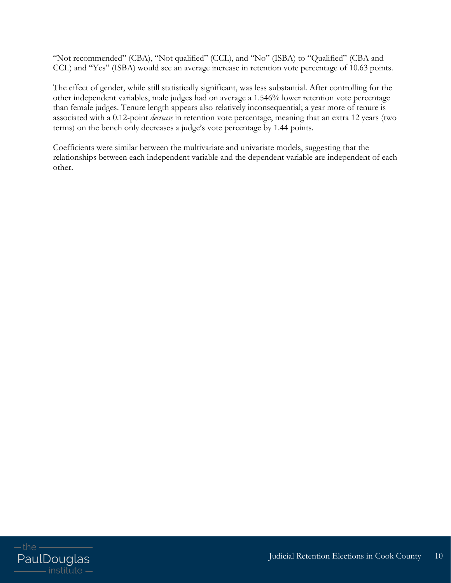"Not recommended" (CBA), "Not qualified" (CCL), and "No" (ISBA) to "Qualified" (CBA and CCL) and "Yes" (ISBA) would see an average increase in retention vote percentage of 10.63 points.

The effect of gender, while still statistically significant, was less substantial. After controlling for the other independent variables, male judges had on average a 1.546% lower retention vote percentage than female judges. Tenure length appears also relatively inconsequential; a year more of tenure is associated with a 0.12-point *decrease* in retention vote percentage, meaning that an extra 12 years (two terms) on the bench only decreases a judge's vote percentage by 1.44 points.

Coefficients were similar between the multivariate and univariate models, suggesting that the relationships between each independent variable and the dependent variable are independent of each other.

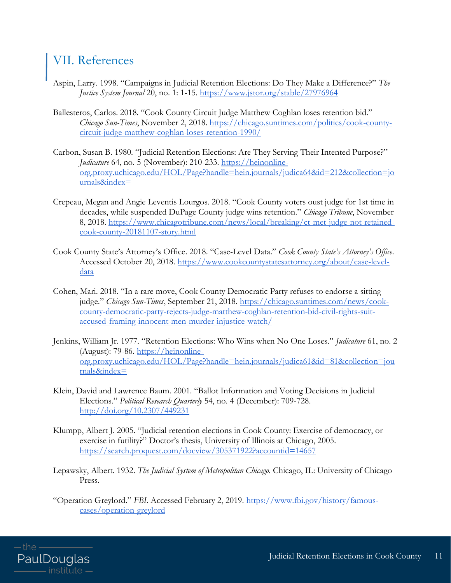#### VII. References

- <span id="page-10-0"></span>Aspin, Larry. 1998. "Campaigns in Judicial Retention Elections: Do They Make a Difference?" *The Justice System Journal* 20, no. 1: 1-15.<https://www.jstor.org/stable/27976964>
- Ballesteros, Carlos. 2018. "Cook County Circuit Judge Matthew Coghlan loses retention bid." *Chicago Sun-Times*, November 2, 2018. [https://chicago.suntimes.com/politics/cook-county](https://chicago.suntimes.com/politics/cook-county-circuit-judge-matthew-coghlan-loses-retention-1990/)[circuit-judge-matthew-coghlan-loses-retention-1990/](https://chicago.suntimes.com/politics/cook-county-circuit-judge-matthew-coghlan-loses-retention-1990/)
- Carbon, Susan B. 1980. "Judicial Retention Elections: Are They Serving Their Intented Purpose?" *Judicature* 64, no. 5 (November): 210-233. [https://heinonline](https://heinonline-org.proxy.uchicago.edu/HOL/Page?handle=hein.journals/judica64&id=212&collection=journals&index=)[org.proxy.uchicago.edu/HOL/Page?handle=hein.journals/judica64&id=212&collection=jo](https://heinonline-org.proxy.uchicago.edu/HOL/Page?handle=hein.journals/judica64&id=212&collection=journals&index=) [urnals&index=](https://heinonline-org.proxy.uchicago.edu/HOL/Page?handle=hein.journals/judica64&id=212&collection=journals&index=)
- Crepeau, Megan and Angie Leventis Lourgos. 2018. "Cook County voters oust judge for 1st time in decades, while suspended DuPage County judge wins retention." *Chicago Tribune*, November 8, 2018. [https://www.chicagotribune.com/news/local/breaking/ct-met-judge-not-retained](https://www.chicagotribune.com/news/local/breaking/ct-met-judge-not-retained-cook-county-20181107-story.html)[cook-county-20181107-story.html](https://www.chicagotribune.com/news/local/breaking/ct-met-judge-not-retained-cook-county-20181107-story.html)
- Cook County State's Attorney's Office. 2018. "Case-Level Data." *Cook County State's Attorney's Office*. Accessed October 20, 2018. [https://www.cookcountystatesattorney.org/about/case-level](https://www.cookcountystatesattorney.org/about/case-level-data)[data](https://www.cookcountystatesattorney.org/about/case-level-data)
- Cohen, Mari. 2018. "In a rare move, Cook County Democratic Party refuses to endorse a sitting judge." *Chicago Sun-Times*, September 21, 2018. [https://chicago.suntimes.com/news/cook](https://chicago.suntimes.com/news/cook-county-democratic-party-rejects-judge-matthew-coghlan-retention-bid-civil-rights-suit-accused-framing-innocent-men-murder-injustice-watch/)[county-democratic-party-rejects-judge-matthew-coghlan-retention-bid-civil-rights-suit](https://chicago.suntimes.com/news/cook-county-democratic-party-rejects-judge-matthew-coghlan-retention-bid-civil-rights-suit-accused-framing-innocent-men-murder-injustice-watch/)[accused-framing-innocent-men-murder-injustice-watch/](https://chicago.suntimes.com/news/cook-county-democratic-party-rejects-judge-matthew-coghlan-retention-bid-civil-rights-suit-accused-framing-innocent-men-murder-injustice-watch/)
- Jenkins, William Jr. 1977. "Retention Elections: Who Wins when No One Loses." *Judicature* 61, no. 2 (August): 79-86. [https://heinonline](https://heinonline-org.proxy.uchicago.edu/HOL/Page?handle=hein.journals/judica61&id=81&collection=journals&index=)[org.proxy.uchicago.edu/HOL/Page?handle=hein.journals/judica61&id=81&collection=jou](https://heinonline-org.proxy.uchicago.edu/HOL/Page?handle=hein.journals/judica61&id=81&collection=journals&index=) [rnals&index=](https://heinonline-org.proxy.uchicago.edu/HOL/Page?handle=hein.journals/judica61&id=81&collection=journals&index=)
- Klein, David and Lawrence Baum. 2001. "Ballot Information and Voting Decisions in Judicial Elections." *Political Research Quarterly* 54, no. 4 (December): 709-728. <http://doi.org/10.2307/449231>
- Klumpp, Albert J. 2005. "Judicial retention elections in Cook County: Exercise of democracy, or exercise in futility?" Doctor's thesis, University of Illinois at Chicago, 2005. <https://search.proquest.com/docview/305371922?accountid=14657>
- Lepawsky, Albert. 1932. *The Judicial System of Metropolitan Chicago*. Chicago, IL: University of Chicago Press.
- "Operation Greylord." *FBI*. Accessed February 2, 2019. [https://www.fbi.gov/history/famous](https://www.fbi.gov/history/famous-cases/operation-greylord)[cases/operation-greylord](https://www.fbi.gov/history/famous-cases/operation-greylord)